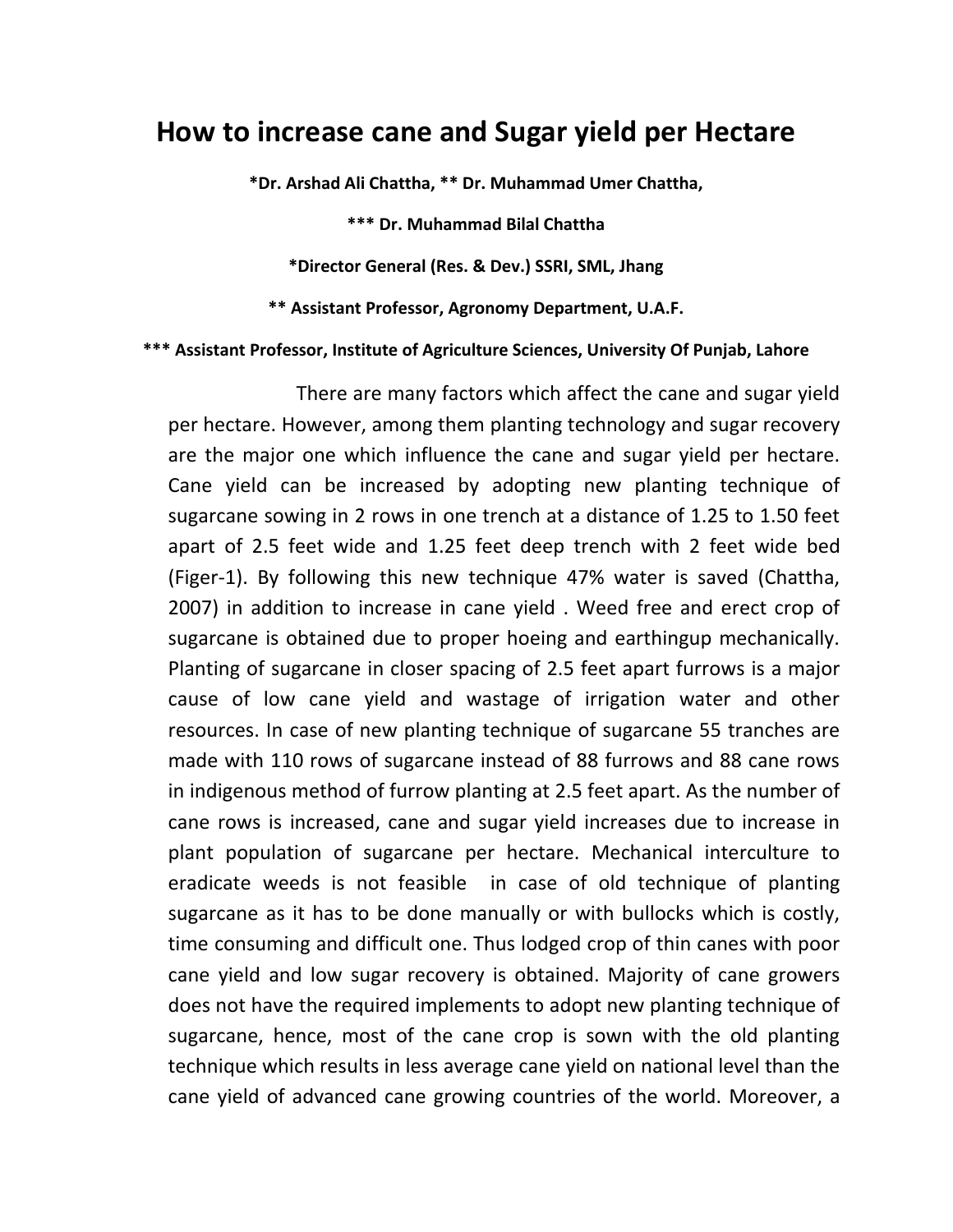## **How to increase cane and Sugar yield per Hectare**

**\*Dr. Arshad Ali Chattha, \*\* Dr. Muhammad Umer Chattha,**

**\*\*\* Dr. Muhammad Bilal Chattha**

**\*Director General (Res. & Dev.) SSRI, SML, Jhang**

**\*\* Assistant Professor, Agronomy Department, U.A.F.**

## **\*\*\* Assistant Professor, Institute of Agriculture Sciences, University Of Punjab, Lahore**

 There are many factors which affect the cane and sugar yield per hectare. However, among them planting technology and sugar recovery are the major one which influence the cane and sugar yield per hectare. Cane yield can be increased by adopting new planting technique of sugarcane sowing in 2 rows in one trench at a distance of 1.25 to 1.50 feet apart of 2.5 feet wide and 1.25 feet deep trench with 2 feet wide bed (Figer-1). By following this new technique 47% water is saved (Chattha, 2007) in addition to increase in cane yield . Weed free and erect crop of sugarcane is obtained due to proper hoeing and earthingup mechanically. Planting of sugarcane in closer spacing of 2.5 feet apart furrows is a major cause of low cane yield and wastage of irrigation water and other resources. In case of new planting technique of sugarcane 55 tranches are made with 110 rows of sugarcane instead of 88 furrows and 88 cane rows in indigenous method of furrow planting at 2.5 feet apart. As the number of cane rows is increased, cane and sugar yield increases due to increase in plant population of sugarcane per hectare. Mechanical interculture to eradicate weeds is not feasible in case of old technique of planting sugarcane as it has to be done manually or with bullocks which is costly, time consuming and difficult one. Thus lodged crop of thin canes with poor cane yield and low sugar recovery is obtained. Majority of cane growers does not have the required implements to adopt new planting technique of sugarcane, hence, most of the cane crop is sown with the old planting technique which results in less average cane yield on national level than the cane yield of advanced cane growing countries of the world. Moreover, a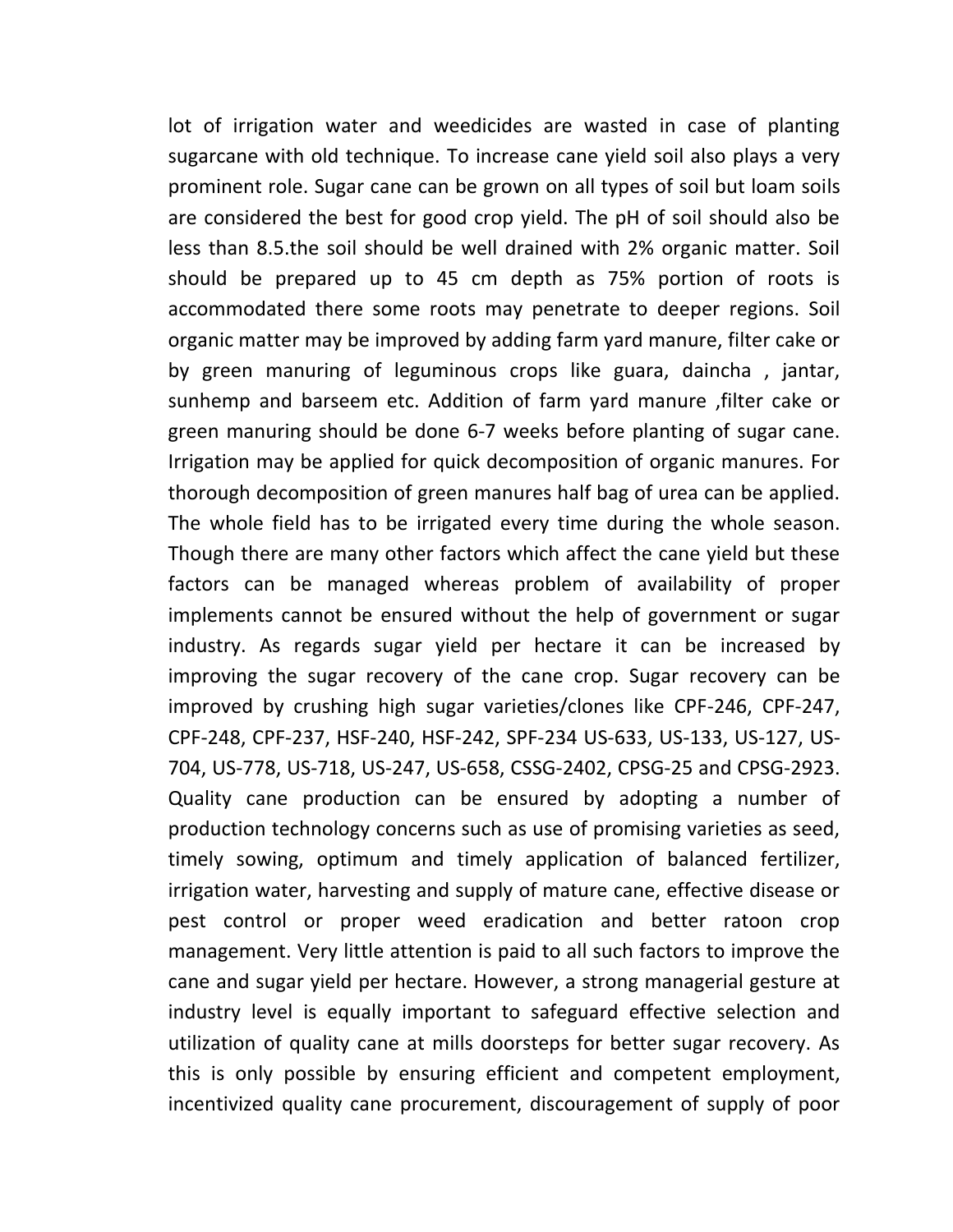lot of irrigation water and weedicides are wasted in case of planting sugarcane with old technique. To increase cane yield soil also plays a very prominent role. Sugar cane can be grown on all types of soil but loam soils are considered the best for good crop yield. The pH of soil should also be less than 8.5.the soil should be well drained with 2% organic matter. Soil should be prepared up to 45 cm depth as 75% portion of roots is accommodated there some roots may penetrate to deeper regions. Soil organic matter may be improved by adding farm yard manure, filter cake or by green manuring of leguminous crops like guara, daincha , jantar, sunhemp and barseem etc. Addition of farm yard manure ,filter cake or green manuring should be done 6-7 weeks before planting of sugar cane. Irrigation may be applied for quick decomposition of organic manures. For thorough decomposition of green manures half bag of urea can be applied. The whole field has to be irrigated every time during the whole season. Though there are many other factors which affect the cane yield but these factors can be managed whereas problem of availability of proper implements cannot be ensured without the help of government or sugar industry. As regards sugar yield per hectare it can be increased by improving the sugar recovery of the cane crop. Sugar recovery can be improved by crushing high sugar varieties/clones like CPF-246, CPF-247, CPF-248, CPF-237, HSF-240, HSF-242, SPF-234 US-633, US-133, US-127, US-704, US-778, US-718, US-247, US-658, CSSG-2402, CPSG-25 and CPSG-2923. Quality cane production can be ensured by adopting a number of production technology concerns such as use of promising varieties as seed, timely sowing, optimum and timely application of balanced fertilizer, irrigation water, harvesting and supply of mature cane, effective disease or pest control or proper weed eradication and better ratoon crop management. Very little attention is paid to all such factors to improve the cane and sugar yield per hectare. However, a strong managerial gesture at industry level is equally important to safeguard effective selection and utilization of quality cane at mills doorsteps for better sugar recovery. As this is only possible by ensuring efficient and competent employment, incentivized quality cane procurement, discouragement of supply of poor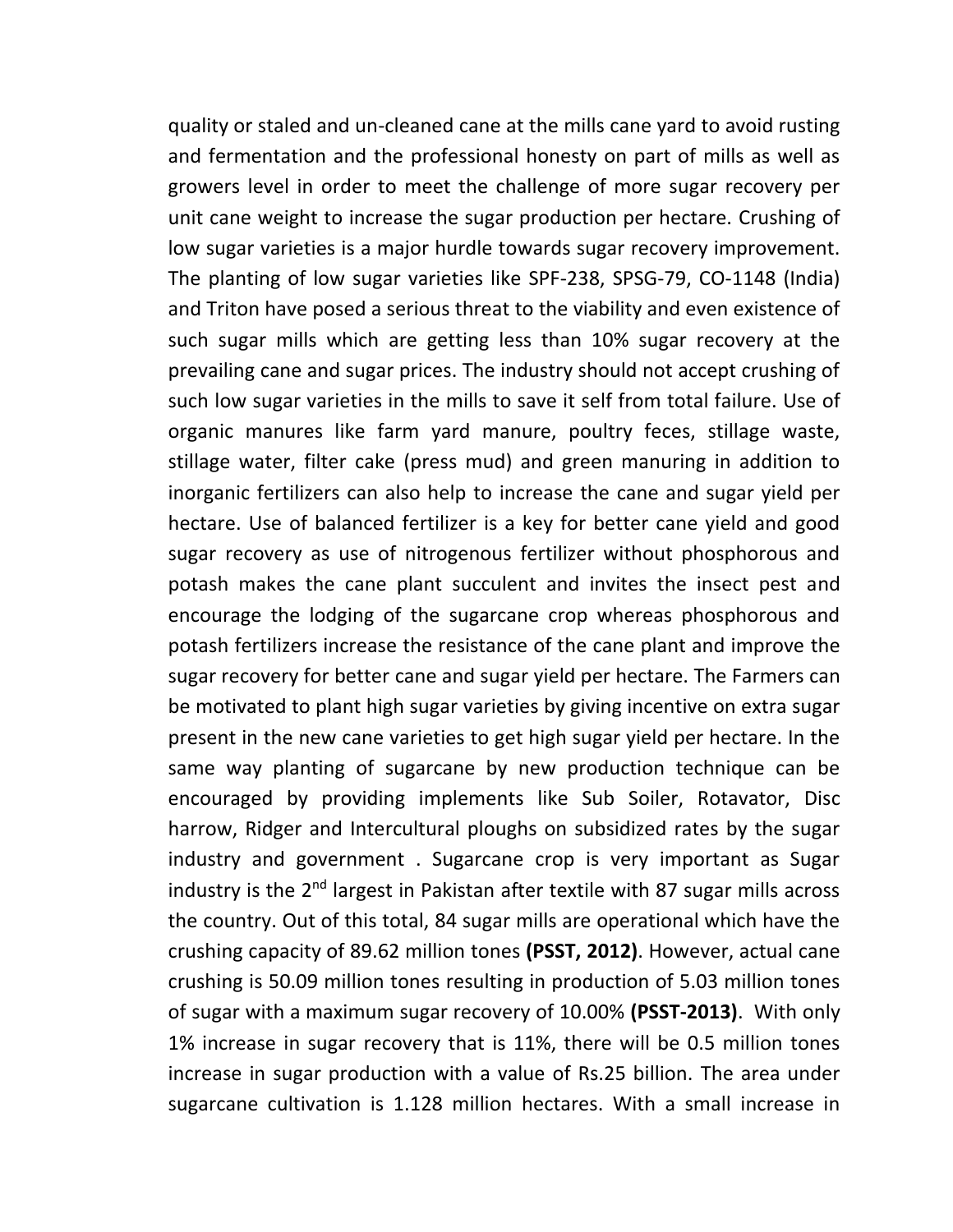quality or staled and un-cleaned cane at the mills cane yard to avoid rusting and fermentation and the professional honesty on part of mills as well as growers level in order to meet the challenge of more sugar recovery per unit cane weight to increase the sugar production per hectare. Crushing of low sugar varieties is a major hurdle towards sugar recovery improvement. The planting of low sugar varieties like SPF-238, SPSG-79, CO-1148 (India) and Triton have posed a serious threat to the viability and even existence of such sugar mills which are getting less than 10% sugar recovery at the prevailing cane and sugar prices. The industry should not accept crushing of such low sugar varieties in the mills to save it self from total failure. Use of organic manures like farm yard manure, poultry feces, stillage waste, stillage water, filter cake (press mud) and green manuring in addition to inorganic fertilizers can also help to increase the cane and sugar yield per hectare. Use of balanced fertilizer is a key for better cane yield and good sugar recovery as use of nitrogenous fertilizer without phosphorous and potash makes the cane plant succulent and invites the insect pest and encourage the lodging of the sugarcane crop whereas phosphorous and potash fertilizers increase the resistance of the cane plant and improve the sugar recovery for better cane and sugar yield per hectare. The Farmers can be motivated to plant high sugar varieties by giving incentive on extra sugar present in the new cane varieties to get high sugar yield per hectare. In the same way planting of sugarcane by new production technique can be encouraged by providing implements like Sub Soiler, Rotavator, Disc harrow, Ridger and Intercultural ploughs on subsidized rates by the sugar industry and government . Sugarcane crop is very important as Sugar industry is the  $2<sup>nd</sup>$  largest in Pakistan after textile with 87 sugar mills across the country. Out of this total, 84 sugar mills are operational which have the crushing capacity of 89.62 million tones **(PSST, 2012)**. However, actual cane crushing is 50.09 million tones resulting in production of 5.03 million tones of sugar with a maximum sugar recovery of 10.00% **(PSST-2013)**. With only 1% increase in sugar recovery that is 11%, there will be 0.5 million tones increase in sugar production with a value of Rs.25 billion. The area under sugarcane cultivation is 1.128 million hectares. With a small increase in